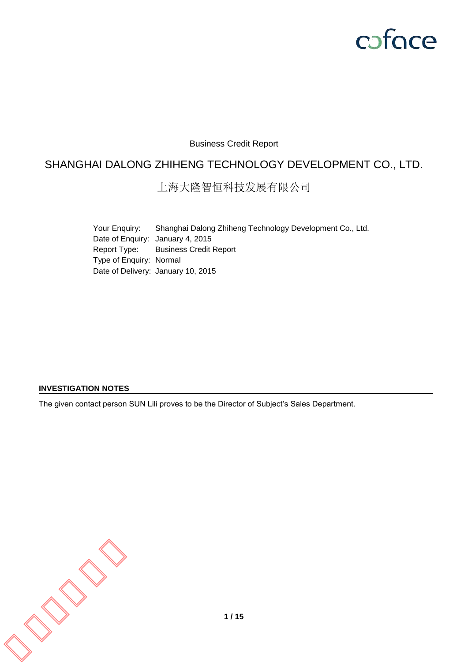# coface

# Business Credit Report

# SHANGHAI DALONG ZHIHENG TECHNOLOGY DEVELOPMENT CO., LTD.

上海大隆智恒科技发展有限公司

Your Enquiry: Shanghai Dalong Zhiheng Technology Development Co., Ltd. Date of Enquiry: January 4, 2015 Report Type: Business Credit Report Type of Enquiry: Normal Date of Delivery: January 10, 2015

#### **INVESTIGATION NOTES**

The given contact person SUN Lili proves to be the Director of Subject's Sales Department.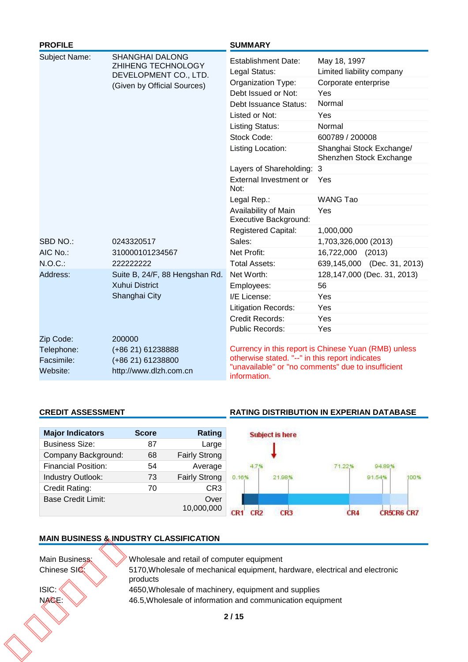| <b>PROFILE</b>                                    |                                                                            | <b>SUMMARY</b>                                                  |                                                                                                            |
|---------------------------------------------------|----------------------------------------------------------------------------|-----------------------------------------------------------------|------------------------------------------------------------------------------------------------------------|
| Subject Name:                                     | <b>SHANGHAI DALONG</b><br>ZHIHENG TECHNOLOGY<br>DEVELOPMENT CO., LTD.      | <b>Establishment Date:</b><br>Legal Status:                     | May 18, 1997<br>Limited liability company                                                                  |
|                                                   | (Given by Official Sources)                                                | Organization Type:                                              | Corporate enterprise                                                                                       |
|                                                   |                                                                            | Debt Issued or Not:                                             | Yes                                                                                                        |
|                                                   |                                                                            | Debt Issuance Status:                                           | Normal                                                                                                     |
|                                                   |                                                                            | Listed or Not:                                                  | Yes                                                                                                        |
|                                                   |                                                                            | <b>Listing Status:</b>                                          | Normal                                                                                                     |
|                                                   |                                                                            | Stock Code:                                                     | 600789 / 200008                                                                                            |
|                                                   |                                                                            | Listing Location:                                               | Shanghai Stock Exchange/<br>Shenzhen Stock Exchange                                                        |
|                                                   |                                                                            | Layers of Shareholding: 3                                       |                                                                                                            |
|                                                   |                                                                            | External Investment or<br>Not:                                  | Yes                                                                                                        |
|                                                   |                                                                            | Legal Rep.:                                                     | <b>WANG Tao</b>                                                                                            |
|                                                   |                                                                            | Availability of Main<br>Executive Background:                   | Yes                                                                                                        |
|                                                   |                                                                            | <b>Registered Capital:</b>                                      | 1,000,000                                                                                                  |
| SBD NO.:                                          | 0243320517                                                                 | Sales:                                                          | 1,703,326,000 (2013)                                                                                       |
| AIC No.:                                          | 310000101234567                                                            | Net Profit:                                                     | 16,722,000<br>(2013)                                                                                       |
| $N.O.C.$ :                                        | 222222222                                                                  | <b>Total Assets:</b>                                            | 639,145,000 (Dec. 31, 2013)                                                                                |
| Address:                                          | Suite B, 24/F, 88 Hengshan Rd.                                             | Net Worth:                                                      | 128, 147, 000 (Dec. 31, 2013)                                                                              |
|                                                   | <b>Xuhui District</b>                                                      | Employees:                                                      | 56                                                                                                         |
|                                                   | Shanghai City                                                              | I/E License:                                                    | Yes                                                                                                        |
|                                                   |                                                                            | <b>Litigation Records:</b>                                      | Yes                                                                                                        |
|                                                   |                                                                            | Credit Records:                                                 | Yes                                                                                                        |
|                                                   |                                                                            | Public Records:                                                 | Yes                                                                                                        |
| Zip Code:<br>Telephone:<br>Facsimile:<br>Website: | 200000<br>(+86 21) 61238888<br>(+86 21) 61238800<br>http://www.dlzh.com.cn | otherwise stated. "--" in this report indicates<br>information. | Currency in this report is Chinese Yuan (RMB) unless<br>"unavailable" or "no comments" due to insufficient |

# **CREDIT ASSESSMENT RATING DISTRIBUTION IN EXPERIAN DATABASE**

| <b>Major Indicators</b>    | <b>Score</b> | Rating               |       | <b>Subject is here</b> |        |        |      |
|----------------------------|--------------|----------------------|-------|------------------------|--------|--------|------|
| <b>Business Size:</b>      | 87           | Large                |       |                        |        |        |      |
| Company Background:        | 68           | <b>Fairly Strong</b> |       |                        |        |        |      |
| <b>Financial Position:</b> | 54           | Average              |       |                        | 71.229 | 94.89  |      |
| Industry Outlook:          | 73           | <b>Fairly Strong</b> | 0.16% | 21.98%                 |        | 91.54% | 100% |
| Credit Rating:             | 70           | CR <sub>3</sub>      |       |                        |        |        |      |
| <b>Base Credit Limit:</b>  |              | Over                 |       |                        |        |        |      |
|                            |              | 10,000,000           | CR2   | CR <sub>3</sub>        |        |        |      |

# **MAIN BUSINESS & INDUSTRY CLASSIFICATION**

| products<br>4650, Wholesale of machinery, equipment and supplies<br>46.5, Wholesale of information and communication equipment | Main Business: | Wholesale and retail of computer equipment                                   |
|--------------------------------------------------------------------------------------------------------------------------------|----------------|------------------------------------------------------------------------------|
|                                                                                                                                | Chinese SIC:   | 5170, Wholesale of mechanical equipment, hardware, electrical and electronic |
|                                                                                                                                | ISIC:          |                                                                              |
|                                                                                                                                | NACE:          |                                                                              |
|                                                                                                                                |                | 2/15                                                                         |
|                                                                                                                                |                |                                                                              |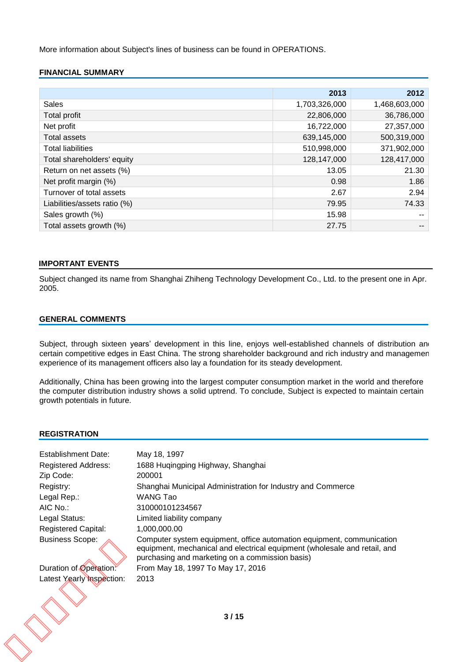More information about Subject's lines of business can be found in OPERATIONS.

## **FINANCIAL SUMMARY**

|                              | 2013          | 2012          |
|------------------------------|---------------|---------------|
| <b>Sales</b>                 | 1,703,326,000 | 1,468,603,000 |
| Total profit                 | 22,806,000    | 36,786,000    |
| Net profit                   | 16,722,000    | 27,357,000    |
| <b>Total assets</b>          | 639,145,000   | 500,319,000   |
| <b>Total liabilities</b>     | 510,998,000   | 371,902,000   |
| Total shareholders' equity   | 128,147,000   | 128,417,000   |
| Return on net assets (%)     | 13.05         | 21.30         |
| Net profit margin (%)        | 0.98          | 1.86          |
| Turnover of total assets     | 2.67          | 2.94          |
| Liabilities/assets ratio (%) | 79.95         | 74.33         |
| Sales growth (%)             | 15.98         |               |
| Total assets growth (%)      | 27.75         | --            |

#### **IMPORTANT EVENTS**

Subject changed its name from Shanghai Zhiheng Technology Development Co., Ltd. to the present one in Apr. 2005.

#### **GENERAL COMMENTS**

Subject, through sixteen years' development in this line, enjoys well-established channels of distribution and certain competitive edges in East China. The strong shareholder background and rich industry and managemen experience of its management officers also lay a foundation for its steady development.

Additionally, China has been growing into the largest computer consumption market in the world and therefore the computer distribution industry shows a solid uptrend. To conclude, Subject is expected to maintain certain growth potentials in future.

#### **REGISTRATION**

| Establishment Date:        | May 18, 1997                                                                                                                                                                                          |
|----------------------------|-------------------------------------------------------------------------------------------------------------------------------------------------------------------------------------------------------|
| <b>Registered Address:</b> | 1688 Huqingping Highway, Shanghai                                                                                                                                                                     |
| Zip Code:                  | 200001                                                                                                                                                                                                |
| Registry:                  | Shanghai Municipal Administration for Industry and Commerce                                                                                                                                           |
| Legal Rep.:                | WANG Tao                                                                                                                                                                                              |
| AIC No.:                   | 310000101234567                                                                                                                                                                                       |
| Legal Status:              | Limited liability company                                                                                                                                                                             |
| <b>Registered Capital:</b> | 1,000,000.00                                                                                                                                                                                          |
| <b>Business Scope:</b>     | Computer system equipment, office automation equipment, communication<br>equipment, mechanical and electrical equipment (wholesale and retail, and<br>purchasing and marketing on a commission basis) |
| Duration of Operation:     | From May 18, 1997 To May 17, 2016                                                                                                                                                                     |
| Latest Yearly Inspection:  | 2013                                                                                                                                                                                                  |
|                            |                                                                                                                                                                                                       |
|                            | 3/15                                                                                                                                                                                                  |
|                            |                                                                                                                                                                                                       |
|                            |                                                                                                                                                                                                       |
|                            |                                                                                                                                                                                                       |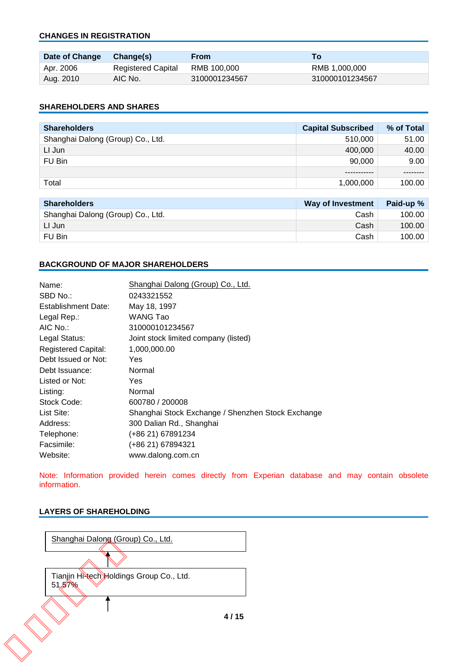#### **CHANGES IN REGISTRATION**

| Date of Change | Change(s)                 | From          | To <b>To</b>    |
|----------------|---------------------------|---------------|-----------------|
| Apr. 2006      | <b>Registered Capital</b> | RMB 100.000   | RMB 1.000.000   |
| Aug. 2010      | AIC No.                   | 3100001234567 | 310000101234567 |

#### **SHAREHOLDERS AND SHARES**

| <b>Shareholders</b>               | <b>Capital Subscribed</b> | % of Total |
|-----------------------------------|---------------------------|------------|
| Shanghai Dalong (Group) Co., Ltd. | 510,000                   | 51.00      |
| LI Jun                            | 400,000                   | 40.00      |
| FU Bin                            | 90.000                    | 9.00       |
|                                   |                           |            |
| Total                             | 1,000,000                 | 100.00     |

| <b>Shareholders</b>               | Way of Investment | Paid-up % |
|-----------------------------------|-------------------|-----------|
| Shanghai Dalong (Group) Co., Ltd. | Cash              | 100.00    |
| LI Jun                            | Cash              | 100.00    |
| FU Bin                            | Cash              | 100.00    |

#### **BACKGROUND OF MAJOR SHAREHOLDERS**

| Name:                      | Shanghai Dalong (Group) Co., Ltd.                 |
|----------------------------|---------------------------------------------------|
| SBD No.:                   | 0243321552                                        |
| Establishment Date:        | May 18, 1997                                      |
| Legal Rep.:                | <b>WANG Tao</b>                                   |
| AIC No.:                   | 310000101234567                                   |
| Legal Status:              | Joint stock limited company (listed)              |
| <b>Registered Capital:</b> | 1,000,000.00                                      |
| Debt Issued or Not:        | Yes                                               |
| Debt Issuance:             | Normal                                            |
| Listed or Not:             | Yes                                               |
| Listing:                   | Normal                                            |
| Stock Code:                | 600780 / 200008                                   |
| List Site:                 | Shanghai Stock Exchange / Shenzhen Stock Exchange |
| Address:                   | 300 Dalian Rd., Shanghai                          |
| Telephone:                 | (+86 21) 67891234                                 |
| Facsimile:                 | (+86 21) 67894321                                 |
| Website:                   | www.dalong.com.cn                                 |

Note: Information provided herein comes directly from Experian database and may contain obsolete information.

#### **LAYERS OF SHAREHOLDING**

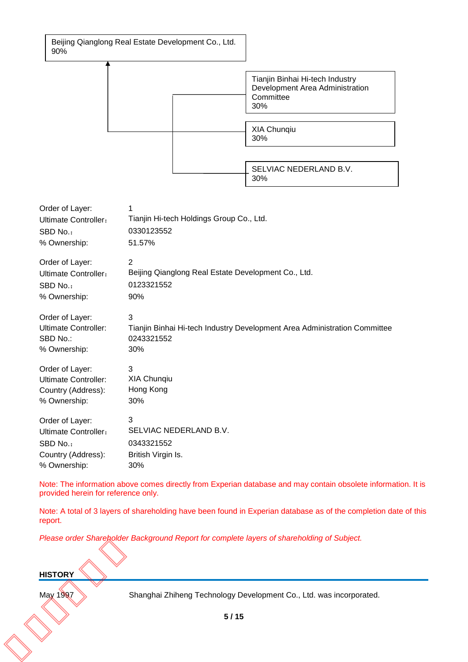Beijing Qianglong Real Estate Development Co., Ltd. 90%



| Order of Layer:             | 1                                                                         |
|-----------------------------|---------------------------------------------------------------------------|
| <b>Ultimate Controller:</b> | Tianjin Hi-tech Holdings Group Co., Ltd.                                  |
| SBD No.:                    | 0330123552                                                                |
| % Ownership:                | 51.57%                                                                    |
| Order of Layer:             | 2                                                                         |
| <b>Ultimate Controller:</b> | Beijing Qianglong Real Estate Development Co., Ltd.                       |
| SBD No.:                    | 0123321552                                                                |
| % Ownership:                | 90%                                                                       |
| Order of Layer:             | 3                                                                         |
| Ultimate Controller:        | Tianjin Binhai Hi-tech Industry Development Area Administration Committee |
| SBD No.:                    | 0243321552                                                                |
| % Ownership:                | 30%                                                                       |
| Order of Layer:             | 3                                                                         |
| <b>Ultimate Controller:</b> | <b>XIA Chunqiu</b>                                                        |
| Country (Address):          | Hong Kong                                                                 |
| % Ownership:                | 30%                                                                       |
| Order of Layer:             | 3                                                                         |
| <b>Ultimate Controller:</b> | SELVIAC NEDERLAND B.V.                                                    |
| SBD No.:                    | 0343321552                                                                |
| Country (Address):          | British Virgin Is.                                                        |
| % Ownership:                | 30%                                                                       |

Note: The information above comes directly from Experian database and may contain obsolete information. It is provided herein for reference only.

Note: A total of 3 layers of shareholding have been found in Experian database as of the completion date of this report.

*Please order Shareholder Background Report for complete layers of shareholding of Subject.*

# **HISTORY** HISTORY<br>May 1997

May 1997 Shanghai Zhiheng Technology Development Co., Ltd. was incorporated.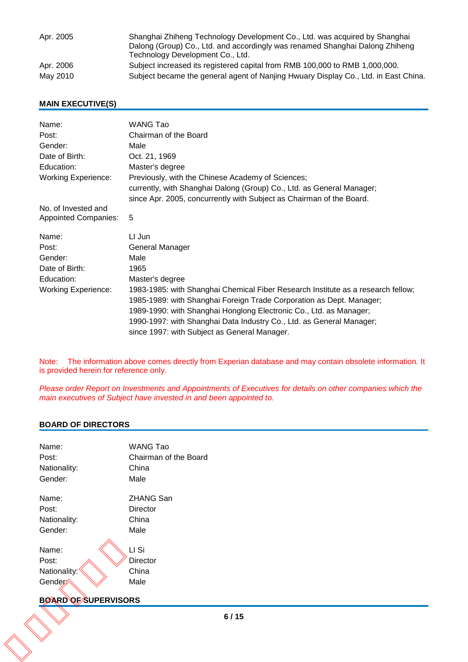| Apr. 2005 | Shanghai Zhiheng Technology Development Co., Ltd. was acquired by Shanghai<br>Dalong (Group) Co., Ltd. and accordingly was renamed Shanghai Dalong Zhiheng<br>Technology Development Co., Ltd. |
|-----------|------------------------------------------------------------------------------------------------------------------------------------------------------------------------------------------------|
| Apr. 2006 | Subject increased its registered capital from RMB 100,000 to RMB 1,000,000.                                                                                                                    |
| May 2010  | Subject became the general agent of Nanjing Hwuary Display Co., Ltd. in East China.                                                                                                            |

### **MAIN EXECUTIVE(S)**

| Name:                       | WANG Tao                                                                         |
|-----------------------------|----------------------------------------------------------------------------------|
| Post:                       | Chairman of the Board                                                            |
| Gender:                     | Male                                                                             |
| Date of Birth:              | Oct. 21, 1969                                                                    |
| Education:                  | Master's degree                                                                  |
| <b>Working Experience:</b>  | Previously, with the Chinese Academy of Sciences;                                |
|                             | currently, with Shanghai Dalong (Group) Co., Ltd. as General Manager;            |
|                             | since Apr. 2005, concurrently with Subject as Chairman of the Board.             |
| No. of Invested and         |                                                                                  |
| <b>Appointed Companies:</b> | 5                                                                                |
| Name:                       | LI Jun                                                                           |
| Post:                       | General Manager                                                                  |
| Gender:                     | Male                                                                             |
| Date of Birth:              | 1965                                                                             |
| Education:                  | Master's degree                                                                  |
| <b>Working Experience:</b>  | 1983-1985: with Shanghai Chemical Fiber Research Institute as a research fellow; |
|                             | 1985-1989: with Shanghai Foreign Trade Corporation as Dept. Manager;             |
|                             | 1989-1990: with Shanghai Honglong Electronic Co., Ltd. as Manager;               |
|                             |                                                                                  |
|                             | 1990-1997: with Shanghai Data Industry Co., Ltd. as General Manager;             |

Note: The information above comes directly from Experian database and may contain obsolete information. It is provided herein for reference only.

*Please order Report on Investments and Appointments of Executives for details on other companies which the main executives of Subject have invested in and been appointed to.* 

#### **BOARD OF DIRECTORS**

| Post:                       |                       |
|-----------------------------|-----------------------|
|                             | Chairman of the Board |
| Nationality:                | China                 |
| Gender:                     | Male                  |
| Name:                       | <b>ZHANG San</b>      |
| Post:                       | Director              |
| Nationality:                | China                 |
| Gender:                     | Male                  |
| Name:                       | LI Si                 |
| Post:                       | Director              |
| Nationality:                | China                 |
| Gender:                     | Male                  |
| <b>BOARD OF SUPERVISORS</b> |                       |
|                             |                       |

#### **BOARD OF SUPERVISORS**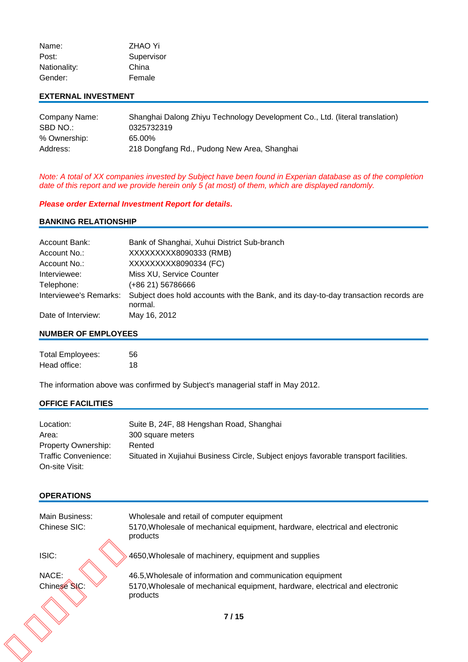| Name:        | <b>ZHAO Yi</b> |
|--------------|----------------|
| Post:        | Supervisor     |
| Nationality: | China          |
| Gender:      | Female         |

#### **EXTERNAL INVESTMENT**

| Company Name: | Shanghai Dalong Zhiyu Technology Development Co., Ltd. (literal translation) |
|---------------|------------------------------------------------------------------------------|
| SBD NO.:      | 0325732319                                                                   |
| % Ownership:  | 65.00%                                                                       |
| Address:      | 218 Dongfang Rd., Pudong New Area, Shanghai                                  |

*Note: A total of XX companies invested by Subject have been found in Experian database as of the completion date of this report and we provide herein only 5 (at most) of them, which are displayed randomly.*

#### *Please order External Investment Report for details.*

#### **BANKING RELATIONSHIP**

| Account Bank:          | Bank of Shanghai, Xuhui District Sub-branch                                                     |
|------------------------|-------------------------------------------------------------------------------------------------|
| Account No.:           | XXXXXXXX8090333 (RMB)                                                                           |
| Account No.:           | XXXXXXXX8090334 (FC)                                                                            |
| Interviewee:           | Miss XU, Service Counter                                                                        |
| Telephone:             | (+86 21) 56786666                                                                               |
| Interviewee's Remarks: | Subject does hold accounts with the Bank, and its day-to-day transaction records are<br>normal. |
| Date of Interview:     | May 16, 2012                                                                                    |

#### **NUMBER OF EMPLOYEES**

| <b>Total Employees:</b> | 56 |
|-------------------------|----|
| Head office:            | 18 |

The information above was confirmed by Subject's managerial staff in May 2012.

# **OFFICE FACILITIES**

| Location:            | Suite B, 24F, 88 Hengshan Road, Shanghai                                             |
|----------------------|--------------------------------------------------------------------------------------|
| Area:                | 300 square meters                                                                    |
| Property Ownership:  | Rented                                                                               |
| Traffic Convenience: | Situated in Xujiahui Business Circle, Subject enjoys favorable transport facilities. |
| On-site Visit:       |                                                                                      |

# **OPERATIONS**

| Main Business:<br>Chinese SIC: | Wholesale and retail of computer equipment<br>5170, Wholesale of mechanical equipment, hardware, electrical and electronic<br>products                 |
|--------------------------------|--------------------------------------------------------------------------------------------------------------------------------------------------------|
| ISIC:                          | 4650, Wholesale of machinery, equipment and supplies                                                                                                   |
| NACE:<br>Chinese SIC:          | 46.5, Wholesale of information and communication equipment<br>5170, Wholesale of mechanical equipment, hardware, electrical and electronic<br>products |
|                                | 7/15                                                                                                                                                   |
|                                |                                                                                                                                                        |
|                                |                                                                                                                                                        |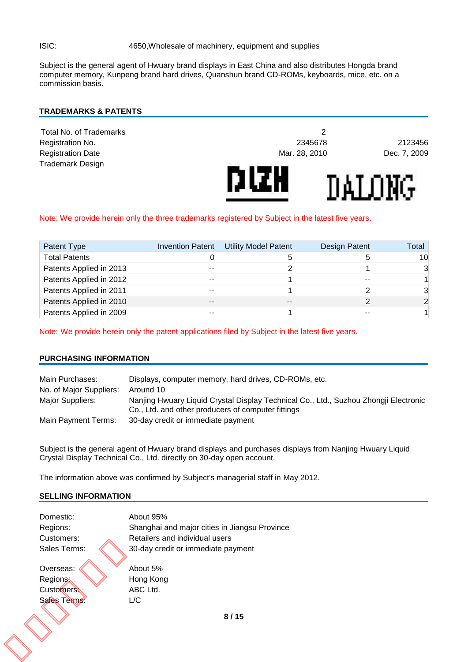Subject is the general agent of Hwuary brand displays in East China and also distributes Hongda brand computer memory, Kunpeng brand hard drives, Quanshun brand CD-ROMs, keyboards, mice, etc. on a commission basis.

#### **TRADEMARKS & PATENTS**

| <b>Registration Date</b><br><b>Trademark Design</b> | Mar. 28, 2010 | Dec. 7, 2009 |
|-----------------------------------------------------|---------------|--------------|
|                                                     | DIZH          | ከል፤ በእንር     |

#### Note: We provide herein only the three trademarks registered by Subject in the latest five years.

| Patent Type             |       | Invention Patent Utility Model Patent | Design Patent | Total    |
|-------------------------|-------|---------------------------------------|---------------|----------|
| <b>Total Patents</b>    |       |                                       |               | 10       |
| Patents Applied in 2013 | $-$   |                                       |               | 3        |
| Patents Applied in 2012 | --    |                                       | --            |          |
| Patents Applied in 2011 | $-$   |                                       |               | 3        |
| Patents Applied in 2010 | $- -$ | $- -$                                 |               | $\Omega$ |
| Patents Applied in 2009 |       |                                       |               |          |

Note: We provide herein only the patent applications filed by Subject in the latest five years.

#### **PURCHASING INFORMATION**

| Main Purchases:         | Displays, computer memory, hard drives, CD-ROMs, etc.                                                                                      |
|-------------------------|--------------------------------------------------------------------------------------------------------------------------------------------|
| No. of Major Suppliers: | Around 10                                                                                                                                  |
| Major Suppliers:        | Nanjing Hwuary Liquid Crystal Display Technical Co., Ltd., Suzhou Zhongji Electronic<br>Co., Ltd. and other producers of computer fittings |
| Main Payment Terms:     | 30-day credit or immediate payment                                                                                                         |

Subject is the general agent of Hwuary brand displays and purchases displays from Nanjing Hwuary Liquid Crystal Display Technical Co., Ltd. directly on 30-day open account.

The information above was confirmed by Subject's managerial staff in May 2012.

#### **SELLING INFORMATION**

| Domestic:    | About 95%                                     |      |
|--------------|-----------------------------------------------|------|
| Regions:     | Shanghai and major cities in Jiangsu Province |      |
| Customers:   | Retailers and individual users                |      |
| Sales Terms: | 30-day credit or immediate payment            |      |
| Overseas:    | About 5%                                      |      |
| Regions:     | Hong Kong                                     |      |
| Customers:   | ABC Ltd.                                      |      |
| Sales Terms: | 1/C                                           |      |
|              |                                               | 8/15 |
|              |                                               |      |
|              |                                               |      |
|              |                                               |      |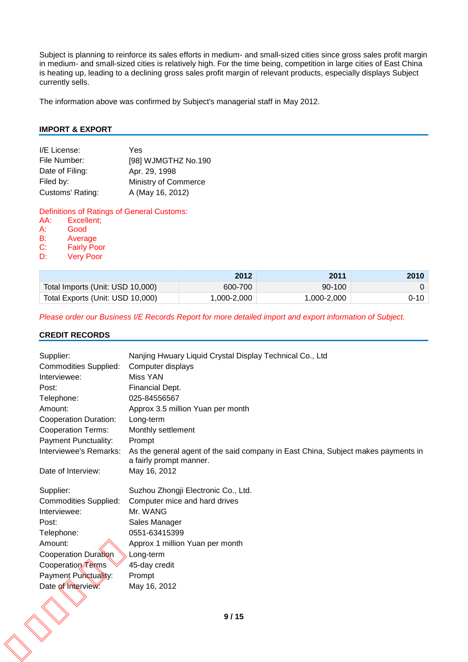Subject is planning to reinforce its sales efforts in medium- and small-sized cities since gross sales profit margin in medium- and small-sized cities is relatively high. For the time being, competition in large cities of East China is heating up, leading to a declining gross sales profit margin of relevant products, especially displays Subject currently sells.

The information above was confirmed by Subject's managerial staff in May 2012.

#### **IMPORT & EXPORT**

| I/E License:     | Yes                  |
|------------------|----------------------|
| File Number:     | [98] WJMGTHZ No.190  |
| Date of Filing:  | Apr. 29, 1998        |
| Filed by:        | Ministry of Commerce |
| Customs' Rating: | A (May 16, 2012)     |

Definitions of Ratings of General Customs:<br>AA: Excellent:

- Excellent; A: Good<br>B: Avera
- B: Average<br>C: Fairly Po
- C: Fairly Poor<br>D: Verv Poor
- **Very Poor**

|                                  | 2012        | 2011        | 2010 |
|----------------------------------|-------------|-------------|------|
| Total Imports (Unit: USD 10,000) | 600-700     | 90-100      |      |
| Total Exports (Unit: USD 10,000) | 1,000-2,000 | 1,000-2,000 | 0-10 |

*Please order our Business I/E Records Report for more detailed import and export information of Subject.*

#### **CREDIT RECORDS**

| Computer displays<br>Miss YAN<br>Financial Dept.<br>025-84556567                                             |
|--------------------------------------------------------------------------------------------------------------|
|                                                                                                              |
|                                                                                                              |
|                                                                                                              |
|                                                                                                              |
| Approx 3.5 million Yuan per month                                                                            |
| Long-term                                                                                                    |
| Monthly settlement                                                                                           |
| Prompt                                                                                                       |
| As the general agent of the said company in East China, Subject makes payments in<br>a fairly prompt manner. |
| May 16, 2012                                                                                                 |
| Suzhou Zhongji Electronic Co., Ltd.                                                                          |
| Computer mice and hard drives                                                                                |
| Mr. WANG                                                                                                     |
| Sales Manager                                                                                                |
| 0551-63415399                                                                                                |
| Approx 1 million Yuan per month                                                                              |
| Long-term                                                                                                    |
| 45-day credit                                                                                                |
| Prompt                                                                                                       |
| May 16, 2012                                                                                                 |
|                                                                                                              |
| 9/15                                                                                                         |
|                                                                                                              |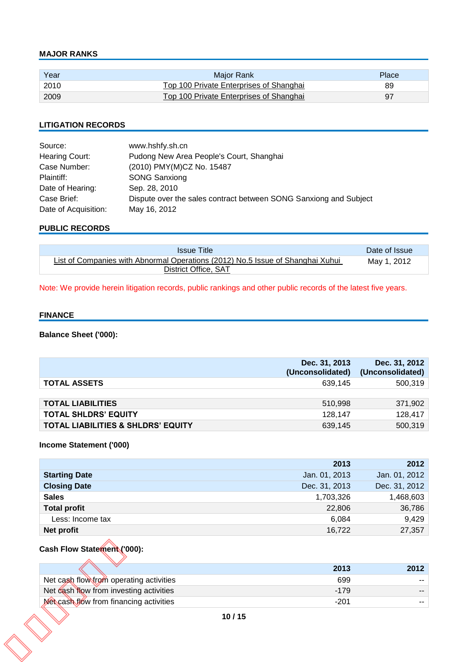#### **MAJOR RANKS**

| Year | Maior Rank                              | Place |
|------|-----------------------------------------|-------|
| 2010 | Top 100 Private Enterprises of Shanghai | 89    |
| 2009 | Top 100 Private Enterprises of Shanghai |       |

### **LITIGATION RECORDS**

| Source:              | www.hshfy.sh.cn                                                   |
|----------------------|-------------------------------------------------------------------|
| Hearing Court:       | Pudong New Area People's Court, Shanghai                          |
| Case Number:         | (2010) PMY(M)CZ No. 15487                                         |
| Plaintiff:           | <b>SONG Sanxiong</b>                                              |
| Date of Hearing:     | Sep. 28, 2010                                                     |
| Case Brief:          | Dispute over the sales contract between SONG Sanxiong and Subject |
| Date of Acquisition: | May 16, 2012                                                      |

#### **PUBLIC RECORDS**

| <b>Issue Title</b>                                                             | Date of Issue |
|--------------------------------------------------------------------------------|---------------|
| List of Companies with Abnormal Operations (2012) No.5 Issue of Shanghai Xuhui | May 1, 2012   |
| District Office, SAT                                                           |               |

Note: We provide herein litigation records, public rankings and other public records of the latest five years.

#### **FINANCE**

# **Balance Sheet ('000):**

|                                               | Dec. 31, 2013<br>(Unconsolidated) | Dec. 31, 2012<br>(Unconsolidated) |
|-----------------------------------------------|-----------------------------------|-----------------------------------|
| <b>TOTAL ASSETS</b>                           | 639.145                           | 500,319                           |
|                                               |                                   |                                   |
| <b>TOTAL LIABILITIES</b>                      | 510.998                           | 371,902                           |
| <b>TOTAL SHLDRS' EQUITY</b>                   | 128.147                           | 128,417                           |
| <b>TOTAL LIABILITIES &amp; SHLDRS' EQUITY</b> | 639,145                           | 500,319                           |

## **Income Statement ('000)**

|                      | 2013          | 2012          |
|----------------------|---------------|---------------|
| <b>Starting Date</b> | Jan. 01, 2013 | Jan. 01, 2012 |
| <b>Closing Date</b>  | Dec. 31, 2013 | Dec. 31, 2012 |
| <b>Sales</b>         | 1,703,326     | 1,468,603     |
| <b>Total profit</b>  | 22,806        | 36,786        |
| Less: Income tax     | 6,084         | 9,429         |
| Net profit           | 16,722        | 27,357        |
|                      |               |               |

#### **Cash Flow Statement ('000):**

| 2013   | 2012 |
|--------|------|
| 699    |      |
| $-179$ | --   |
| $-201$ |      |
|        |      |
|        |      |
|        |      |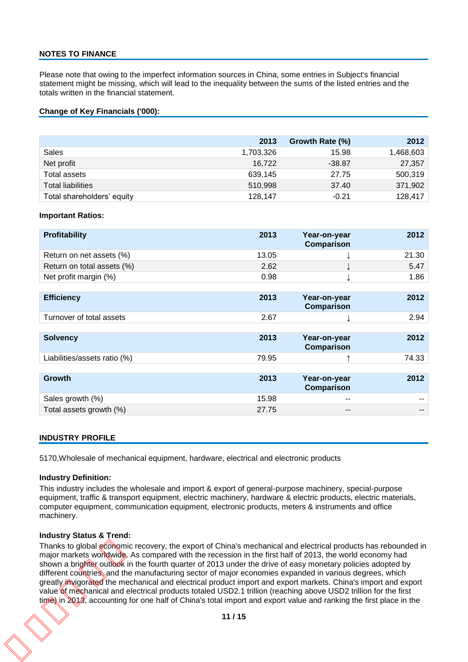#### **NOTES TO FINANCE**

Please note that owing to the imperfect information sources in China, some entries in Subject's financial statement might be missing, which will lead to the inequality between the sums of the listed entries and the totals written in the financial statement.

#### **Change of Key Financials ('000):**

|                            | 2013      | Growth Rate (%) | 2012      |
|----------------------------|-----------|-----------------|-----------|
| Sales                      | 1,703,326 | 15.98           | 1,468,603 |
| Net profit                 | 16.722    | $-38.87$        | 27,357    |
| Total assets               | 639,145   | 27.75           | 500,319   |
| <b>Total liabilities</b>   | 510,998   | 37.40           | 371,902   |
| Total shareholders' equity | 128,147   | $-0.21$         | 128,417   |

#### **Important Ratios:**

| <b>Profitability</b>         | 2013  | Year-on-year<br><b>Comparison</b> | 2012  |
|------------------------------|-------|-----------------------------------|-------|
| Return on net assets (%)     | 13.05 |                                   | 21.30 |
| Return on total assets (%)   | 2.62  |                                   | 5.47  |
| Net profit margin (%)        | 0.98  |                                   | 1.86  |
|                              |       |                                   |       |
| <b>Efficiency</b>            | 2013  | Year-on-year<br><b>Comparison</b> | 2012  |
| Turnover of total assets     | 2.67  |                                   | 2.94  |
|                              |       |                                   |       |
| <b>Solvency</b>              | 2013  | Year-on-year<br><b>Comparison</b> | 2012  |
| Liabilities/assets ratio (%) | 79.95 |                                   | 74.33 |
|                              |       |                                   |       |
| <b>Growth</b>                | 2013  | Year-on-year<br><b>Comparison</b> | 2012  |
| Sales growth (%)             | 15.98 | --                                |       |
| Total assets growth (%)      | 27.75 | --                                |       |

#### **INDUSTRY PROFILE**

5170,Wholesale of mechanical equipment, hardware, electrical and electronic products

#### **Industry Definition:**

This industry includes the wholesale and import & export of general-purpose machinery, special-purpose equipment, traffic & transport equipment, electric machinery, hardware & electric products, electric materials, computer equipment, communication equipment, electronic products, meters & instruments and office machinery.

#### **Industry Status & Trend:**

Thanks to global economic recovery, the export of China's mechanical and electrical products has rebounded in major markets worldwide. As compared with the recession in the first half of 2013, the world economy had shown a brighter outlook in the fourth quarter of 2013 under the drive of easy monetary policies adopted by different countries, and the manufacturing sector of major economies expanded in various degrees, which greatly invigorated the mechanical and electrical product import and export markets. China's import and export value of mechanical and electrical products totaled USD2.1 trillion (reaching above USD2 trillion for the first time) in 2013, accounting for one half of China's total import and export value and ranking the first place in the Thanks to global economic<br>major markets worldwide.<br>shown a brighter outlook in<br>different countries, and the<br>greatly invigorated the mec<br>value of mechanical and el<br>time) in 2013, accounting f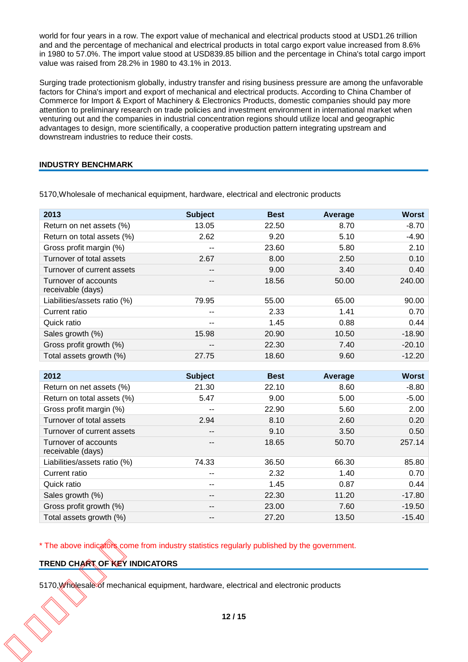world for four years in a row. The export value of mechanical and electrical products stood at USD1.26 trillion and and the percentage of mechanical and electrical products in total cargo export value increased from 8.6% in 1980 to 57.0%. The import value stood at USD839.85 billion and the percentage in China's total cargo import value was raised from 28.2% in 1980 to 43.1% in 2013.

Surging trade protectionism globally, industry transfer and rising business pressure are among the unfavorable factors for China's import and export of mechanical and electrical products. According to China Chamber of Commerce for Import & Export of Machinery & Electronics Products, domestic companies should pay more attention to preliminary research on trade policies and investment environment in international market when venturing out and the companies in industrial concentration regions should utilize local and geographic advantages to design, more scientifically, a cooperative production pattern integrating upstream and downstream industries to reduce their costs.

#### **INDUSTRY BENCHMARK**

| 2013                                      | <b>Subject</b> | <b>Best</b> | Average | <b>Worst</b> |
|-------------------------------------------|----------------|-------------|---------|--------------|
| Return on net assets (%)                  | 13.05          | 22.50       | 8.70    | $-8.70$      |
| Return on total assets (%)                | 2.62           | 9.20        | 5.10    | $-4.90$      |
| Gross profit margin (%)                   | --             | 23.60       | 5.80    | 2.10         |
| Turnover of total assets                  | 2.67           | 8.00        | 2.50    | 0.10         |
| Turnover of current assets                | --             | 9.00        | 3.40    | 0.40         |
| Turnover of accounts<br>receivable (days) | --             | 18.56       | 50.00   | 240.00       |
| Liabilities/assets ratio (%)              | 79.95          | 55.00       | 65.00   | 90.00        |
| Current ratio                             | --             | 2.33        | 1.41    | 0.70         |
| Quick ratio                               | --             | 1.45        | 0.88    | 0.44         |
| Sales growth (%)                          | 15.98          | 20.90       | 10.50   | $-18.90$     |
| Gross profit growth (%)                   | --             | 22.30       | 7.40    | $-20.10$     |
| Total assets growth (%)                   | 27.75          | 18.60       | 9.60    | $-12.20$     |

5170,Wholesale of mechanical equipment, hardware, electrical and electronic products

| 2012                                      | <b>Subject</b> | <b>Best</b> | Average | <b>Worst</b> |
|-------------------------------------------|----------------|-------------|---------|--------------|
| Return on net assets (%)                  | 21.30          | 22.10       | 8.60    | $-8.80$      |
| Return on total assets (%)                | 5.47           | 9.00        | 5.00    | $-5.00$      |
| Gross profit margin (%)                   | --             | 22.90       | 5.60    | 2.00         |
| Turnover of total assets                  | 2.94           | 8.10        | 2.60    | 0.20         |
| Turnover of current assets                | $- -$          | 9.10        | 3.50    | 0.50         |
| Turnover of accounts<br>receivable (days) | --             | 18.65       | 50.70   | 257.14       |
| Liabilities/assets ratio (%)              | 74.33          | 36.50       | 66.30   | 85.80        |
| Current ratio                             | --             | 2.32        | 1.40    | 0.70         |
| Quick ratio                               | --             | 1.45        | 0.87    | 0.44         |
| Sales growth (%)                          | --             | 22.30       | 11.20   | $-17.80$     |
| Gross profit growth (%)                   | $- -$          | 23.00       | 7.60    | $-19.50$     |
| Total assets growth (%)                   | --             | 27.20       | 13.50   | $-15.40$     |

\* The above indicators come from industry statistics regularly published by the government.

#### **TREND CHART OF KEY INDICATORS**

5170,Wholesale of mechanical equipment, hardware, electrical and electronic products TREND CHART OF KEY I<br>TREND CHART OF KEY I<br>5170, Wholesale of mechan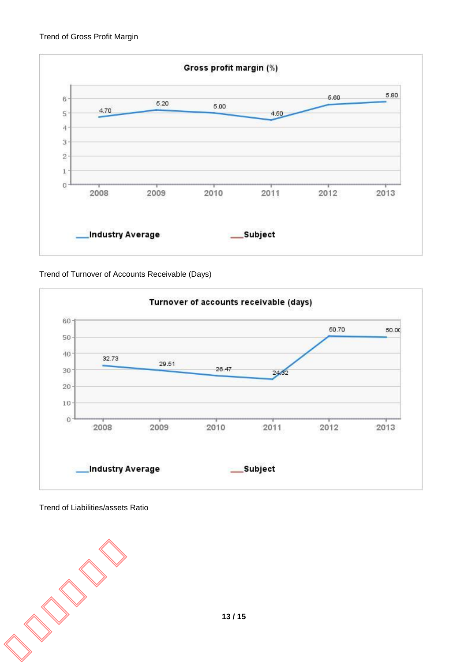

Trend of Turnover of Accounts Receivable (Days)



Trend of Liabilities/assets Ratio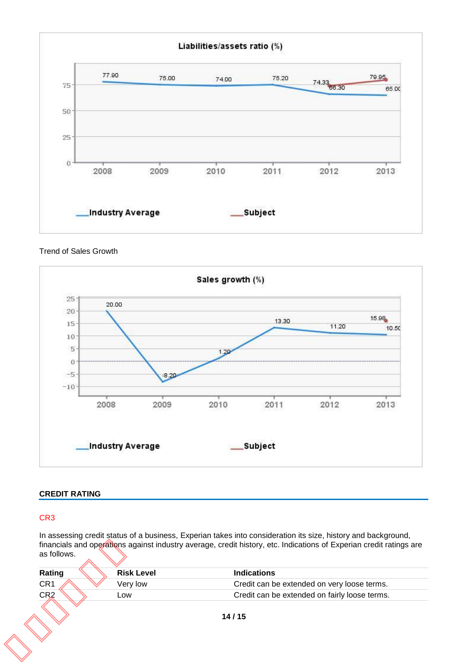

Trend of Sales Growth



# **CREDIT RATING**

# CR3

In assessing credit status of a business, Experian takes into consideration its size, history and background, financials and operations against industry average, credit history, etc. Indications of Experian credit ratings are as follows.

| Rating          | <b>Risk Level</b> | <b>Indications</b>                            |
|-----------------|-------------------|-----------------------------------------------|
| CR <sub>1</sub> | Very low          | Credit can be extended on very loose terms.   |
| CR <sub>2</sub> | Low               | Credit can be extended on fairly loose terms. |
|                 |                   | 14/15                                         |
|                 |                   |                                               |